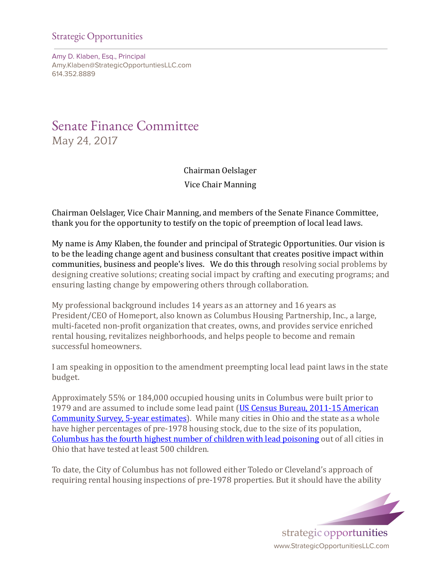## Strategic Opportunities

Amy D. Klaben, Esq., Principal Amy.Klaben@StrategicOpportuntiesLLC.com 614.352.8889

## Senate Finance Committee May 24, 2017

Chairman Oelslager Vice Chair Manning

Chairman Oelslager, Vice Chair Manning, and members of the Senate Finance Committee, thank you for the opportunity to testify on the topic of preemption of local lead laws.

My name is Amy Klaben, the founder and principal of Strategic Opportunities. Our vision is to be the leading change agent and business consultant that creates positive impact within communities, business and people's lives. We do this through resolving social problems by designing creative solutions; creating social impact by crafting and executing programs; and ensuring lasting change by empowering others through collaboration.

My professional background includes 14 years as an attorney and 16 years as President/CEO of Homeport, also known as Columbus Housing Partnership, Inc., a large, multi-faceted non-profit organization that creates, owns, and provides service enriched rental housing, revitalizes neighborhoods, and helps people to become and remain successful homeowners.

I am speaking in opposition to the amendment preempting local lead paint laws in the state budget.

Approximately 55% or 184,000 occupied housing units in Columbus were built prior to 1979 and are assumed to include some lead paint (US Census Bureau, 2011-15 [American](https://factfinder.census.gov/rest/dnldController/deliver?_ts=514760205077) [Community](https://factfinder.census.gov/rest/dnldController/deliver?_ts=514760205077) Survey, 5‑year estimates). While many cities in Ohio and the state as a whole have higher percentages of pre-1978 housing stock, due to the size of its population, [Columbus](https://www.odh.ohio.gov/-/media/ODH/ASSETS/Files/eh/lead-poisoning---children/2016/Data-Statistics/2015_CityBreakdown_table.pdf?la=en) has the fourth highest number of children with lead poisoning out of all cities in Ohio that have tested at least 500 children.

To date, the City of Columbus has not followed either Toledo or Cleveland's approach of requiring rental housing inspections of pre-1978 properties. But it should have the ability

> strategic opportunities www.StrategicOpportunitiesLLC.com